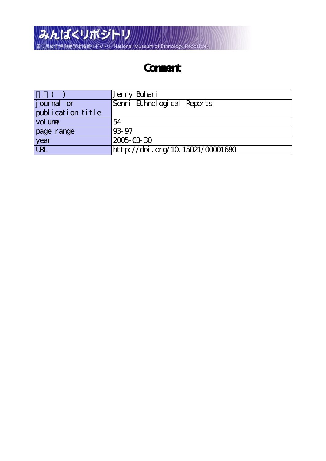

# **Comment**

|                    | Jerry Buhari                     |
|--------------------|----------------------------------|
| <i>j</i> ournal or | Senri Ethnological Reports       |
| publication title  |                                  |
| vol une            | 54                               |
| page range         | 93.97                            |
| year               | 2005-03-30                       |
| <b>URL</b>         | http://doi.org/10.15021/00001680 |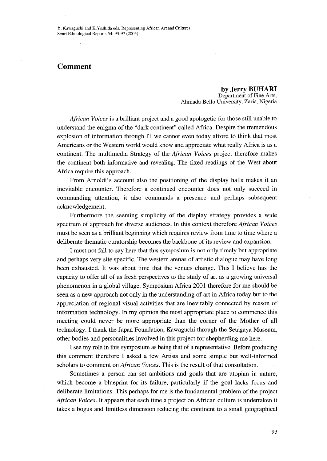## Comment

 by Jerry BUHARI Department of Fine Arts, Ahmadu Bello University, Zaria, Nigeria

*African Voices* is a brilliant project and a good apologetic for those still unable to understand the enigma of the "dark continent" called Africa. Despite the tremendous explosion of information through IT we cannot even today afford to think that most Americans or the Western world would know and appreciate what really Afirica is as a continent. The multimedia Strategy of the *African Voices* project therefore makes the continent both informative and revealing. The fixed readings of the West about Africa require this approach.

 From Arnoldi's account also the positioning of the display halls makes it an inevitable encounter. Therefore a continued encounter does not only succeed in commanding attention, it also commands a presence and perhaps subsequent acknowledgement.

 Furthermore the seeming simplicity of the display strategy provides a wide spectrum of approach for diverse audiences. In this context therefore *African Voices* must be seen as a bri11iant beginning which requires review from time to time where a deliberate thematic curatorship becomes the backbone of its review and expansion.

 I must not fail to say here that this symposium is not only timely but appropriate and perhaps very site specific. The westem arenas of artistic dialogue may have long been exhausted. It was about time that the venues change. This I believe has the capacity to offer al1 of us fresh perspectives to the study of art as a growing universal phenomenon in a global village. Symposium Africa 2001 therefore for me should be seen as a new approach not only in the understanding of art in Africa today but to the appreciation of regional visual activities that are inevitably connected by reason of information technology. In my opinion the most appropriate place to commence this meeting could never be more appropriate than the corner of the Mother of all technology. I thank the Japan Foundation, Kawaguchi through the Setagaya Museum, other bodies and personalities involved in this project for shepherding me here.

 I see my role in this symposium as being that of a representative. Before producing this comment therefbre I asked a few Artists and some simple but well-informed scholars to comment on *African Voices*. This is the result of that consultation.

Sometimes a person can set ambitions and goals that are utopian in nature, which become a blueprint for its failure, particularly if the goal lacks focus and deliberate limitations. This perhaps for me is the fundamental problem of the preject *African Voices*. It appears that each time a project on African culture is undertaken it takes a bogus and limitless dimension reducing the continent to a small geographical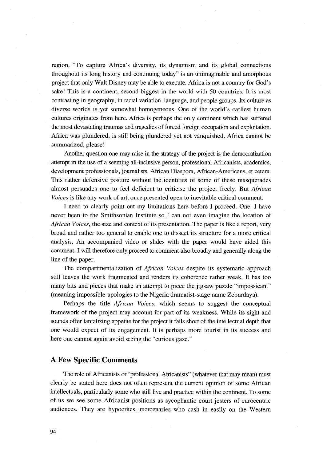region. "To capture Africa's diversity, its dynamism and its global connections throughout its long history and continuing today" is an unjmaginal)le and amorphous project that only Walt Disney may be able to execute. Africa is not a country for God's sake! This is a continent, second biggest in the world with 50 countries. It is most contrasting in geography, in racial variation, language, and people groups. Its culture as diverse worlds is yet somewhat homogeneous. One of the world's earliest human cultures originates from here. Africa is perhaps the only continent which has suffered the most devastating traumas and tragedies of forced foreign occupation and exploitation. Africa was plundered, is still being plundered yet not vanquished. Africa cannot be summarized, please!

 Another question one may raise in the strategy of the preject is the democratization attempt in the use of a seeming all-inclusive person, professional Africanists, academics, development professionals, journalists, African Diaspora, African-Americans, et cetera. This rather defensive posture without the identities of some of these masquerades almost persuades one to feel deficient to criticise the project freely. But African Voices is like any work of art, once presented open to inevitable critical comment.

 I need to clearly point out my limitations here befbre I proceed. One, I have never been to the Smithsonian Institute so I can not even imagine the location of African Voices, the size and context of its presentation. The paper is like a report, very broad and rather too general to enable one to dissect its structure for a more critical analysis. An accompanied video or slides with the paper would have aided this comment. I will therefore only proceed to comment also broadly and generally along the line of the paper.

The compartmentalization of *African Voices* despite its systematic approach still leaves the work fragmented and renders its coherence rather weak. It has too many bits and pieces that make an attempt to piece the jigsaw puzzle "impossicant" (meaning impossible-apologies to the Nigeria dramatist-stage name Zeburdaya).

Perhaps the title *African Voices*, which seems to suggest the conceptual framework of the project may account for part of its weakness. While its sight and sounds offer tantalizing appetite for the project it fails short of the intellectual depth that one would expect of its engagement. It is perhaps more tourist in its success and here one cannot again avoid seeing the "curious gaze."

#### A Few Specific Comments

 The role of Africanists or "professional Africanists" (whatever that may mean) must clearly be stated here does not often represent the current opinion of some African intellectuals, particularly some who still live and practice within the continent. To some of us we see some Africanist positions as sycophantic court jesters of eurocentric audiences. They are hypocrites, mercenaries who cash in easily on the Western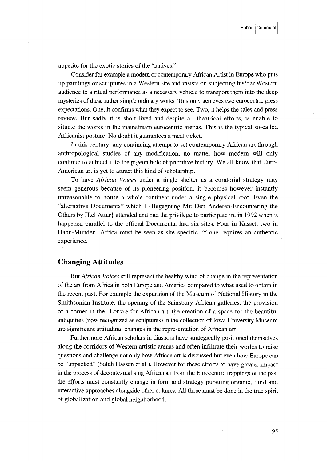appetite for the exotic stories of the "natives."

Consider for example a modern or contemporary African Artist in Europe who puts up paintings or sculptures in a Western site and insists on subjecting his/her Western audience to a ritual performance as a necessary vehicle to transport them into the deep mysteries of these rather simple ordinary works. This only achieves two eurocentric press expectations. One, it confirms what they expect to see. Two, it helps the sales and press review. But sadly it is short lived and despite all theatrical effbrts, is unable to situate the works in the mainstream eurocentric arenas. This is the typical so-called Africanist posture. No doubt it guarantees a meal ticket.

 In this century, any continuing attempt to set contemporary African art through anthropological studies of any modification, no matter how modern will only continue to subject it to the pigeon hole of primitive history. We all know that Euro-American art is yet to attract this kind of scholarship.

To have *African Voices* under a single shelter as a curatorial strategy may seem generous because of its pioneering position, it becomes however instantly unreasonable to house a whole continent under a single physical roof. Even the "alternative Documenta" which I {Begegnung Mit Den Anderen-Encountering the Others by H.e} Attar} attended and had the privilege to participate in, in 1992 when it happened parallel to the official Documenta, had six sites. Four in Kassel, two in Hann-Munden. Afirica must be seen as site specific, if one requires an authentic experience.

#### Changing Attitudes

But *African Voices* still represent the healthy wind of change in the representation of the art from Africa in both Europe and America compared to what used to obtain in the recent past. For example the expansion of the Museum of National History in the Smithsonian Institute, the opening of the Sainsbury African galleries, the provision of a corner in the Louvre for African art, the creation of a space for the beautiful antiquities (now recognized as sculptures) in the collection of Iowa University Museum are significant attitudinal changes in the representation of African art.

 Furthermore African scholars in diaspora have strategically positioned themselves along the corridors of Western artistic arenas and often infiltrate their worlds to raise questions and challenge not only how Afitican art is discussed but even how Europe can be "unpacked" (Salah Hassan et al.). However for these effbrts to have greater impact in the process of decontextualising African art from the Eurocentric trappings of the past the efforts must constantly change in form and strategy pursuing organic, fluid and interactive approaches alongside other cultures. All these must be done in the true spirit of globalization and global neighborhood.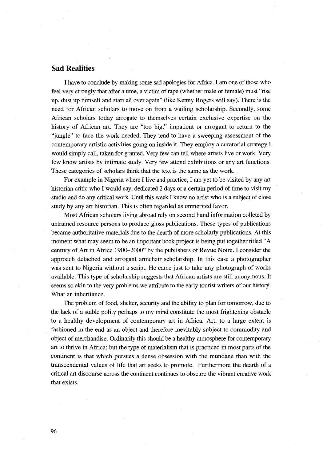### Sad Realities

I have to conclude by making some sad apologies for Africa. I am one of those who feel very strongly that after a time, a victim of rape (whether male or female) must "rise up, dust up himself and start ai1 over again" (like Kenny Rogers will say). There is the need for African scholars to move on from a wailing scholarship. Secondly, some Aftican scholars today arrogate to themselves certain exclusive expenise on the history of African art. They are "too big," impatient or arrogant to return to the `ijungle" to face the work needed. They tend to have a sweeping assessment of the contemporary artistic activities going on inside it. They employ a curatorial strategy I would simply cal1, taken for granted. Very few can tell where artists live or work. Very few know artists by intimate study. Very few attend exhibitions or any art functions. These categories of scholars think that the text is the same as the work.

 For example in Nigeria where I live and practice, I am yet to be visited by any art historian critic who I would say, dedicated 2 days or a certain period of time to visit my studio and do any critical work. Unti1 this week I know no artist who is a subject of close study by any art historian. This is often regarded as unmerited favor.

 Most African scholars living abroad rely on second hand information colleted by untrained resource persons to produce gloss publications. These types of publications became authoritative materials due to the dearth of more scholarly publications. At this moment what may seem to be an important book project is being put together titled "A century of Art in Africa 1900-2000" by the publishers of Revue Noire. I consider the approach detached and arrogant armchair scholarship. In this case a photographer was sent to Nigeria without a script. He came just to take any photograph of works available. This type of scholarship suggests that African artists are still anonymous. It seems so akin to the very problems we attribute to the early tourist writers of our history. What an inheritance.

The problem of food, shelter, security and the ability to plan for tomorrow, due to the lack of a stable polity perhaps to my mind constitute the most frightening obstacle to a healthy development of contemporary art in Africa. Art, to a large extent is fashioned in the end as an object and therefore inevitably subject to commodity and object of merchandise. Ordinarily this should be a healthy atmosphere for contemporary art to thrive in Africa; but the type of materialism that is practiced in most parts of the continent is that which pursues a dense obsession with the mundane than with the transcendental values of life that art seeks to promote. Furthermore the dearth of a critical art discourse across the continent continues to obscure the vibrant creative work that exists.